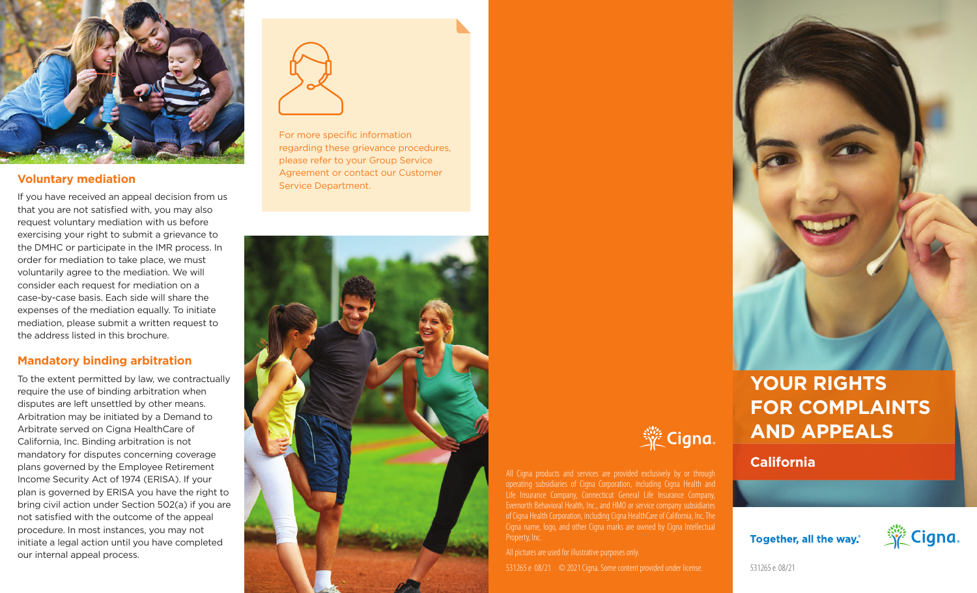

## **Voluntary mediation**

If you have received an appeal decision from us that you are not satisfied with, you may also request voluntary mediation with us before exercising your right to submit a grievance to the DMHC or participate in the IMR process. In order for mediation to take place, we must voluntarily agree to the mediation. We will consider each request for mediation on a case-by-case basis. Each side will share the expenses of the mediation equally. To initiate mediation, please submit a written request to the address listed in this brochure.

## **Mandatory binding arbitration**

To the extent permitted by law, we contractually require the use of binding arbitration when disputes are left unsettled by other means. Arbitration may be initiated by a Demand to Arbitrate served on Cigna HealthCare of California, Inc. Binding arbitration is not mandatory for disputes concerning coverage plans governed by the Employee Retirement Income Security Act of 1974 (ERISA). If your plan is governed by ERISA you have the right to bring civil action under Section 502(a) if you are not satisfied with the outcome of the appeal procedure. In most instances, you may not initiate a legal action until you have completed our internal appeal process.



For more specific information regarding these grievance procedures, please refer to your Group Service Agreement or contact our Customer Service Department.





All Cigna products and services are provided exclusively by or through operating subsidiaries of Cigna Corporation, including Cigna Health and Life Insurance Company, Connecticut General Life Insurance Company, of Cigna Health Corporation, including Cigna HealthCare of California, Inc. The Cigna name, logo, and other Cigna marks are owned by Cigna Intellectual Property, Inc.

531265 e 08/21 © 2021 Cigna. Some content provided under license.



**FOR COMPLAINTS AND APPEALS**

**California**

Together, all the way.



531265 e 08/21